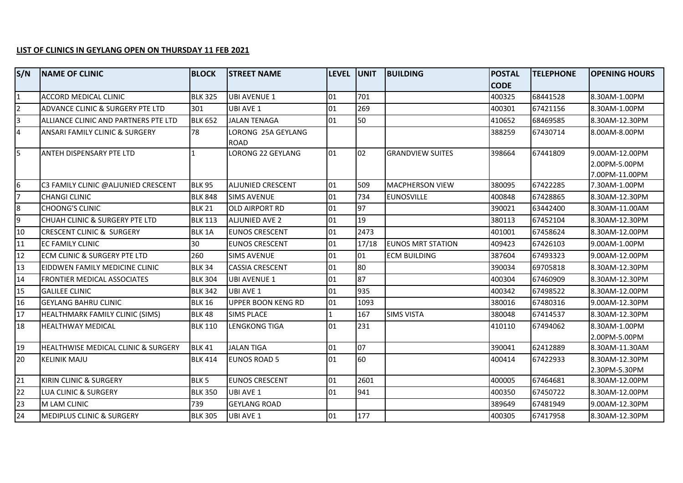## **LIST OF CLINICS IN GEYLANG OPEN ON THURSDAY 11 FEB 2021**

| S/N    | <b>NAME OF CLINIC</b>                     | <b>BLOCK</b>     | <b>STREET NAME</b>                | <b>LEVEL</b> | <b>UNIT</b> | <b>BUILDING</b>          | <b>POSTAL</b> | <b>TELEPHONE</b> | <b>OPENING HOURS</b>                              |
|--------|-------------------------------------------|------------------|-----------------------------------|--------------|-------------|--------------------------|---------------|------------------|---------------------------------------------------|
|        |                                           |                  |                                   |              |             |                          | <b>CODE</b>   |                  |                                                   |
| 1      | <b>ACCORD MEDICAL CLINIC</b>              | <b>BLK 325</b>   | <b>UBI AVENUE 1</b>               | 01           | 701         |                          | 400325        | 68441528         | 8.30AM-1.00PM                                     |
| 2      | ADVANCE CLINIC & SURGERY PTE LTD          | 301              | UBI AVE 1                         | 01           | 269         |                          | 400301        | 67421156         | 8.30AM-1.00PM                                     |
| 3      | ALLIANCE CLINIC AND PARTNERS PTE LTD      | <b>BLK 652</b>   | <b>JALAN TENAGA</b>               | 01           | 50          |                          | 410652        | 68469585         | 8.30AM-12.30PM                                    |
| 4      | <b>ANSARI FAMILY CLINIC &amp; SURGERY</b> | 78               | LORONG 25A GEYLANG<br><b>ROAD</b> |              |             |                          | 388259        | 67430714         | 8.00AM-8.00PM                                     |
| 5      | ANTEH DISPENSARY PTE LTD                  |                  | LORONG 22 GEYLANG                 | 01           | 02          | <b>GRANDVIEW SUITES</b>  | 398664        | 67441809         | 9.00AM-12.00PM<br>2.00PM-5.00PM<br>7.00PM-11.00PM |
| 6      | C3 FAMILY CLINIC @ALJUNIED CRESCENT       | <b>BLK 95</b>    | <b>ALJUNIED CRESCENT</b>          | 01           | 509         | <b>MACPHERSON VIEW</b>   | 380095        | 67422285         | 7.30AM-1.00PM                                     |
| 7      | <b>CHANGI CLINIC</b>                      | <b>BLK 848</b>   | <b>SIMS AVENUE</b>                | 01           | 734         | <b>EUNOSVILLE</b>        | 400848        | 67428865         | 8.30AM-12.30PM                                    |
| 8      | <b>CHOONG'S CLINIC</b>                    | <b>BLK 21</b>    | <b>OLD AIRPORT RD</b>             | 01           | 97          |                          | 390021        | 63442400         | 8.30AM-11.00AM                                    |
| 9      | CHUAH CLINIC & SURGERY PTE LTD            | <b>BLK 113</b>   | <b>ALJUNIED AVE 2</b>             | 01           | 19          |                          | 380113        | 67452104         | 8.30AM-12.30PM                                    |
| $10\,$ | <b>CRESCENT CLINIC &amp; SURGERY</b>      | <b>BLK 1A</b>    | <b>EUNOS CRESCENT</b>             | 01           | 2473        |                          | 401001        | 67458624         | 8.30AM-12.00PM                                    |
| 11     | <b>EC FAMILY CLINIC</b>                   | 30               | <b>EUNOS CRESCENT</b>             | 01           | 17/18       | <b>EUNOS MRT STATION</b> | 409423        | 67426103         | 9.00AM-1.00PM                                     |
| 12     | ECM CLINIC & SURGERY PTE LTD              | 260              | <b>SIMS AVENUE</b>                | 01           | 01          | <b>ECM BUILDING</b>      | 387604        | 67493323         | 9.00AM-12.00PM                                    |
| 13     | EIDDWEN FAMILY MEDICINE CLINIC            | <b>BLK 34</b>    | <b>CASSIA CRESCENT</b>            | 01           | 80          |                          | 390034        | 69705818         | 8.30AM-12.30PM                                    |
| 14     | <b>FRONTIER MEDICAL ASSOCIATES</b>        | <b>BLK 304</b>   | <b>UBI AVENUE 1</b>               | 01           | 87          |                          | 400304        | 67460909         | 8.30AM-12.30PM                                    |
| 15     | <b>GALILEE CLINIC</b>                     | <b>BLK 342</b>   | UBI AVE 1                         | 01           | 935         |                          | 400342        | 67498522         | 8.30AM-12.00PM                                    |
| 16     | <b>GEYLANG BAHRU CLINIC</b>               | <b>BLK 16</b>    | <b>UPPER BOON KENG RD</b>         | 01           | 1093        |                          | 380016        | 67480316         | 9.00AM-12.30PM                                    |
| 17     | HEALTHMARK FAMILY CLINIC (SIMS)           | <b>BLK 48</b>    | <b>SIMS PLACE</b>                 | $\mathbf{1}$ | 167         | <b>SIMS VISTA</b>        | 380048        | 67414537         | 8.30AM-12.30PM                                    |
| 18     | <b>HEALTHWAY MEDICAL</b>                  | <b>BLK 110</b>   | LENGKONG TIGA                     | 01           | 231         |                          | 410110        | 67494062         | 8.30AM-1.00PM<br>2.00PM-5.00PM                    |
| 19     | HEALTHWISE MEDICAL CLINIC & SURGERY       | <b>BLK 41</b>    | <b>JALAN TIGA</b>                 | 01           | 07          |                          | 390041        | 62412889         | 8.30AM-11.30AM                                    |
| 20     | <b>KELINIK MAJU</b>                       | <b>BLK 414</b>   | <b>EUNOS ROAD 5</b>               | 01           | 60          |                          | 400414        | 67422933         | 8.30AM-12.30PM<br>2.30PM-5.30PM                   |
| 21     | KIRIN CLINIC & SURGERY                    | BLK <sub>5</sub> | <b>EUNOS CRESCENT</b>             | 01           | 2601        |                          | 400005        | 67464681         | 8.30AM-12.00PM                                    |
| 22     | LUA CLINIC & SURGERY                      | <b>BLK 350</b>   | <b>UBI AVE 1</b>                  | 01           | 941         |                          | 400350        | 67450722         | 8.30AM-12.00PM                                    |
| 23     | M LAM CLINIC                              | 739              | <b>GEYLANG ROAD</b>               |              |             |                          | 389649        | 67481949         | 9.00AM-12.30PM                                    |
| 24     | <b>MEDIPLUS CLINIC &amp; SURGERY</b>      | <b>BLK 305</b>   | UBI AVE 1                         | 01           | 177         |                          | 400305        | 67417958         | 8.30AM-12.30PM                                    |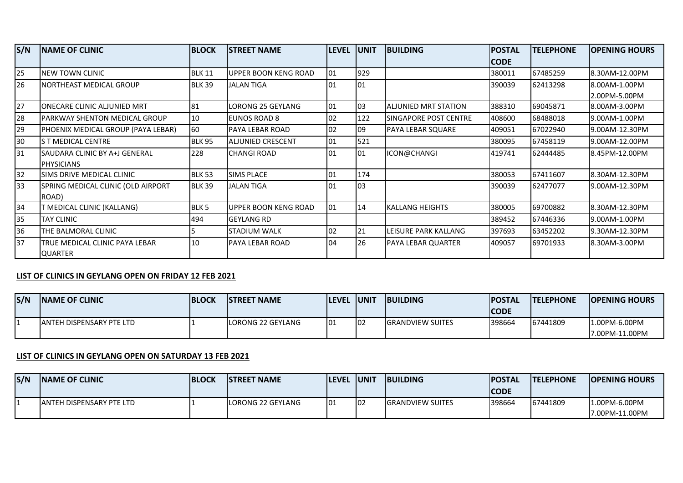| S/N | <b>INAME OF CLINIC</b>                              | <b>BLOCK</b>     | <b>STREET NAME</b>       | <b>LEVEL</b> | <b>UNIT</b> | <b>BUILDING</b>              | <b>POSTAL</b><br><b>CODE</b> | <b>TELEPHONE</b> | <b>OPENING HOURS</b>           |
|-----|-----------------------------------------------------|------------------|--------------------------|--------------|-------------|------------------------------|------------------------------|------------------|--------------------------------|
| 25  | <b>INEW TOWN CLINIC</b>                             | <b>BLK 11</b>    | UPPER BOON KENG ROAD     | 01           | 929         |                              | 380011                       | 67485259         | 8.30AM-12.00PM                 |
| 26  | <b>INORTHEAST MEDICAL GROUP</b>                     | <b>BLK 39</b>    | <b>JALAN TIGA</b>        | 01           | 101         |                              | 390039                       | 62413298         | 8.00AM-1.00PM<br>2.00PM-5.00PM |
| 27  | IONECARE CLINIC ALJUNIED MRT                        | 81               | LORONG 25 GEYLANG        | 01           | 03          | <b>ALJUNIED MRT STATION</b>  | 388310                       | 69045871         | 8.00AM-3.00PM                  |
| 28  | <b>IPARKWAY SHENTON MEDICAL GROUP</b>               | 10               | <b>EUNOS ROAD 8</b>      | 02           | 122         | <b>SINGAPORE POST CENTRE</b> | 408600                       | 68488018         | 9.00AM-1.00PM                  |
| 29  | PHOENIX MEDICAL GROUP (PAYA LEBAR)                  | 60               | <b>PAYA LEBAR ROAD</b>   | 02           | 09          | PAYA LEBAR SQUARE            | 409051                       | 67022940         | 9.00AM-12.30PM                 |
| 30  | <b>S T MEDICAL CENTRE</b>                           | <b>BLK 95</b>    | <b>ALJUNIED CRESCENT</b> | 01           | 521         |                              | 380095                       | 67458119         | 9.00AM-12.00PM                 |
| 31  | ISAUDARA CLINIC BY A+J GENERAL<br><b>PHYSICIANS</b> | 228              | <b>CHANGI ROAD</b>       | 01           | 01          | ICON@CHANGI                  | 419741                       | 62444485         | 8.45PM-12.00PM                 |
| 32  | <b>SIMS DRIVE MEDICAL CLINIC</b>                    | <b>BLK 53</b>    | <b>SIMS PLACE</b>        | 01           | 174         |                              | 380053                       | 67411607         | 8.30AM-12.30PM                 |
| 33  | SPRING MEDICAL CLINIC (OLD AIRPORT<br>ROAD)         | <b>BLK 39</b>    | <b>JALAN TIGA</b>        | 01           | 03          |                              | 390039                       | 62477077         | 9.00AM-12.30PM                 |
| 34  | [ MEDICAL CLINIC (KALLANG)                          | BLK <sub>5</sub> | UPPER BOON KENG ROAD     | 01           | 14          | <b>KALLANG HEIGHTS</b>       | 380005                       | 69700882         | 8.30AM-12.30PM                 |
| 35  | TAY CLINIC                                          | 494              | <b>GEYLANG RD</b>        |              |             |                              | 389452                       | 67446336         | 9.00AM-1.00PM                  |
| 36  | THE BALMORAL CLINIC                                 |                  | <b>STADIUM WALK</b>      | 02           | 21          | LEISURE PARK KALLANG         | 397693                       | 63452202         | 9.30AM-12.30PM                 |
| 37  | TRUE MEDICAL CLINIC PAYA LEBAR<br><b>QUARTER</b>    | 10               | PAYA LEBAR ROAD          | 04           | 26          | PAYA LEBAR QUARTER           | 409057                       | 69701933         | 8.30AM-3.00PM                  |

## **LIST OF CLINICS IN GEYLANG OPEN ON FRIDAY 12 FEB 2021**

| S/N | <b>INAME OF CLINIC</b>    | <b>BLOCK</b> | <b>ISTREET NAME</b> | <b>LEVEL UNIT</b> |     | <b>IBUILDING</b>         | <b>IPOSTAL</b> | <b>ITELEPHONE</b> | <b>IOPENING HOURS</b>            |
|-----|---------------------------|--------------|---------------------|-------------------|-----|--------------------------|----------------|-------------------|----------------------------------|
|     |                           |              |                     |                   |     |                          | ICODE          |                   |                                  |
|     | IANTEH DISPENSARY PTE LTD |              | LORONG 22 GEYLANG   | 01                | 102 | <b>IGRANDVIEW SUITES</b> | 398664         | 67441809          | 1.00PM-6.00PM<br>17.00PM-11.00PM |

## **LIST OF CLINICS IN GEYLANG OPEN ON SATURDAY 13 FEB 2021**

| S/N | <b>INAME OF CLINIC</b>           | <b>BLOCK</b> | <b>ISTREET NAME</b> | <b>ILEVEL</b> | <b>AUNIT</b> | <b>BUILDING</b>          | <b>POSTAL</b> | <b>ITELEPHONE</b> | <b>IOPENING HOURS</b>            |
|-----|----------------------------------|--------------|---------------------|---------------|--------------|--------------------------|---------------|-------------------|----------------------------------|
|     |                                  |              |                     |               |              |                          | <b>CODE</b>   |                   |                                  |
|     | <b>JANTEH DISPENSARY PTE LTD</b> |              | LORONG 22 GEYLANG   | 101           | 102          | <b>IGRANDVIEW SUITES</b> | 398664        | 67441809          | 1.00PM-6.00PM<br>17.00PM-11.00PM |